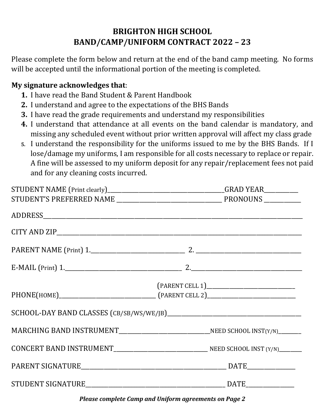# **BRIGHTON HIGH SCHOOL BAND/CAMP/UNIFORM CONTRACT 2022 – 23**

Please complete the form below and return at the end of the band camp meeting. No forms will be accepted until the informational portion of the meeting is completed.

# **My signature acknowledges that**:

- **1.** I have read the Band Student & Parent Handbook
- **2.** I understand and agree to the expectations of the BHS Bands
- **3.** I have read the grade requirements and understand my responsibilities
- **4.** I understand that attendance at all events on the band calendar is mandatory, and missing any scheduled event without prior written approval will affect my class grade
- **5.** I understand the responsibility for the uniforms issued to me by the BHS Bands. If I lose/damage my uniforms, I am responsible for all costs necessary to replace or repair. A fine will be assessed to my uniform deposit for any repair/replacement fees not paid and for any cleaning costs incurred.

|  | STUDENT NAME (Print clearly)__________________________________GRAD YEAR_________ |  |
|--|----------------------------------------------------------------------------------|--|
|  |                                                                                  |  |
|  |                                                                                  |  |
|  |                                                                                  |  |
|  |                                                                                  |  |
|  |                                                                                  |  |
|  |                                                                                  |  |
|  |                                                                                  |  |
|  |                                                                                  |  |
|  |                                                                                  |  |
|  |                                                                                  |  |
|  |                                                                                  |  |
|  |                                                                                  |  |

*Please complete Camp and Uniform agreements on Page 2*